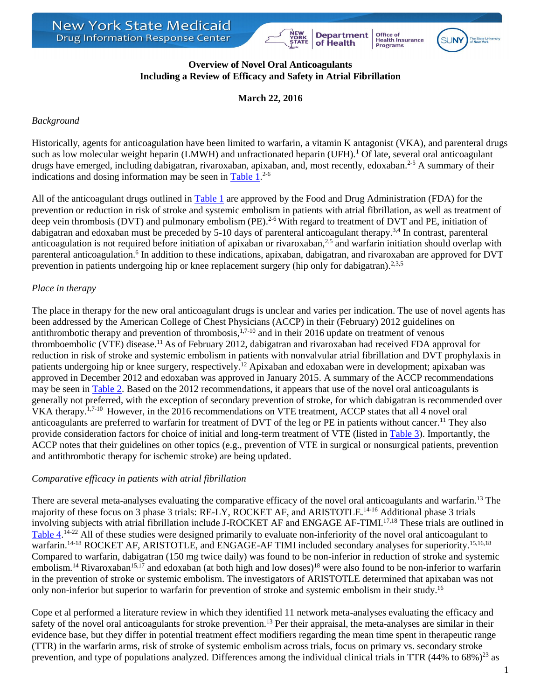





## **Overview of Novel Oral Anticoagulants Including a Review of Efficacy and Safety in Atrial Fibrillation**

**March 22, 2016**

# *Background*

Historically, agents for anticoagulation have been limited to warfarin, a vitamin K antagonist (VKA), and parenteral drugs such as low molecular weight heparin (LMWH) and unfractionated heparin (UFH).<sup>1</sup> Of late, several oral anticoagulant drugs have emerged, including dabigatran, rivaroxaban, apixaban, and, most recently, edoxaban.<sup>2-5</sup> A summary of their indications and dosing information may be seen in [Table 1.](#page-3-0)<sup>2-6</sup>

All of the anticoagulant drugs outlined in [Table 1](#page-3-0) are approved by the Food and Drug Administration (FDA) for the prevention or reduction in risk of stroke and systemic embolism in patients with atrial fibrillation, as well as treatment of deep vein thrombosis (DVT) and pulmonary embolism (PE).<sup>2-6</sup> With regard to treatment of DVT and PE, initiation of dabigatran and edoxaban must be preceded by 5-10 days of parenteral anticoagulant therapy.<sup>3,4</sup> In contrast, parenteral anticoagulation is not required before initiation of apixaban or rivaroxaban,<sup>2,5</sup> and warfarin initiation should overlap with parenteral anticoagulation.<sup>6</sup> In addition to these indications, apixaban, dabigatran, and rivaroxaban are approved for DVT prevention in patients undergoing hip or knee replacement surgery (hip only for dabigatran).<sup>2,3,5</sup>

# *Place in therapy*

The place in therapy for the new oral anticoagulant drugs is unclear and varies per indication. The use of novel agents has been addressed by the American College of Chest Physicians (ACCP) in their (February) 2012 guidelines on antithrombotic therapy and prevention of thrombosis, $1,7-10$  and in their 2016 update on treatment of venous thromboembolic (VTE) disease.<sup>11</sup> As of February 2012, dabigatran and rivaroxaban had received FDA approval for reduction in risk of stroke and systemic embolism in patients with nonvalvular atrial fibrillation and DVT prophylaxis in patients undergoing hip or knee surgery, respectively.<sup>12</sup> Apixaban and edoxaban were in development; apixaban was approved in December 2012 and edoxaban was approved in January 2015. A summary of the ACCP recommendations may be seen in [Table 2.](#page-5-0) Based on the 2012 recommendations, it appears that use of the novel oral anticoagulants is generally not preferred, with the exception of secondary prevention of stroke, for which dabigatran is recommended over VKA therapy.<sup>1,7-10</sup> However, in the 2016 recommendations on VTE treatment, ACCP states that all 4 novel oral anticoagulants are preferred to warfarin for treatment of DVT of the leg or PE in patients without cancer.<sup>11</sup> They also provide consideration factors for choice of initial and long-term treatment of VTE (listed in [Table 3\)](#page-7-0). Importantly, the ACCP notes that their guidelines on other topics (e.g., prevention of VTE in surgical or nonsurgical patients, prevention and antithrombotic therapy for ischemic stroke) are being updated.

# *Comparative efficacy in patients with atrial fibrillation*

There are several meta-analyses evaluating the comparative efficacy of the novel oral anticoagulants and warfarin.<sup>13</sup> The majority of these focus on 3 phase 3 trials: RE-LY, ROCKET AF, and ARISTOTLE.<sup>14-16</sup> Additional phase 3 trials involving subjects with atrial fibrillation include J-ROCKET AF and ENGAGE AF-TIMI.17,18 These trials are outlined in [Table 4.](#page-8-0)<sup>14-22</sup> All of these studies were designed primarily to evaluate non-inferiority of the novel oral anticoagulant to warfarin.<sup>14-18</sup> ROCKET AF, ARISTOTLE, and ENGAGE-AF TIMI included secondary analyses for superiority.<sup>15,16,18</sup> Compared to warfarin, dabigatran (150 mg twice daily) was found to be non-inferior in reduction of stroke and systemic embolism.<sup>14</sup> Rivaroxaban<sup>15,17</sup> and edoxaban (at both high and low doses)<sup>18</sup> were also found to be non-inferior to warfarin in the prevention of stroke or systemic embolism. The investigators of ARISTOTLE determined that apixaban was not only non-inferior but superior to warfarin for prevention of stroke and systemic embolism in their study.<sup>16</sup>

Cope et al performed a literature review in which they identified 11 network meta-analyses evaluating the efficacy and safety of the novel oral anticoagulants for stroke prevention.<sup>13</sup> Per their appraisal, the meta-analyses are similar in their evidence base, but they differ in potential treatment effect modifiers regarding the mean time spent in therapeutic range (TTR) in the warfarin arms, risk of stroke of systemic embolism across trials, focus on primary vs. secondary stroke prevention, and type of populations analyzed. Differences among the individual clinical trials in TTR  $(44\%$  to  $68\%)^{23}$  as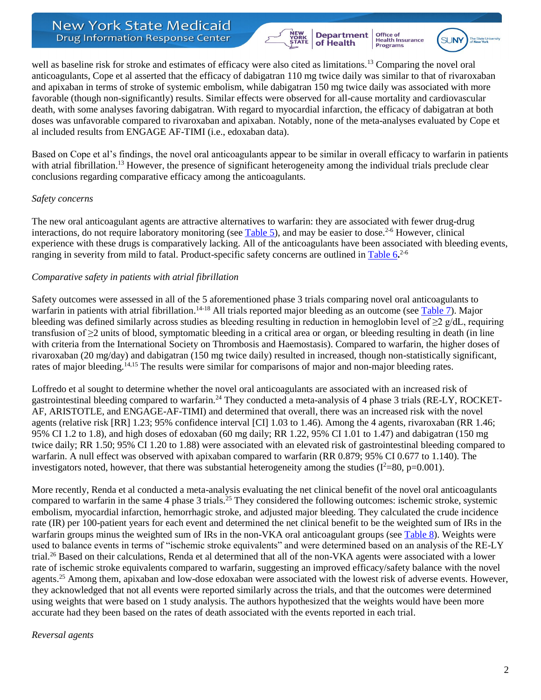

Office of<br>Health Insurance<br>Programs **SUNY** 



well as baseline risk for stroke and estimates of efficacy were also cited as limitations.<sup>13</sup> Comparing the novel oral anticoagulants, Cope et al asserted that the efficacy of dabigatran 110 mg twice daily was similar to that of rivaroxaban and apixaban in terms of stroke of systemic embolism, while dabigatran 150 mg twice daily was associated with more favorable (though non-significantly) results. Similar effects were observed for all-cause mortality and cardiovascular death, with some analyses favoring dabigatran. With regard to myocardial infarction, the efficacy of dabigatran at both doses was unfavorable compared to rivaroxaban and apixaban. Notably, none of the meta-analyses evaluated by Cope et al included results from ENGAGE AF-TIMI (i.e., edoxaban data).

Based on Cope et al's findings, the novel oral anticoagulants appear to be similar in overall efficacy to warfarin in patients with atrial fibrillation.<sup>13</sup> However, the presence of significant heterogeneity among the individual trials preclude clear conclusions regarding comparative efficacy among the anticoagulants.

## *Safety concerns*

The new oral anticoagulant agents are attractive alternatives to warfarin: they are associated with fewer drug-drug interactions, do not require laboratory monitoring (see [Table 5\)](#page-11-0), and may be easier to dose.<sup>2-6</sup> However, clinical experience with these drugs is comparatively lacking. All of the anticoagulants have been associated with bleeding events, ranging in severity from mild to fatal. Product-specific safety concerns are outlined i[n Table 6](#page-12-0)**.** 2-6

## *Comparative safety in patients with atrial fibrillation*

Safety outcomes were assessed in all of the 5 aforementioned phase 3 trials comparing novel oral anticoagulants to warfarin in patients with atrial fibrillation.<sup>14-18</sup> All trials reported major bleeding as an outcome (see [Table 7\)](#page-15-0). Major bleeding was defined similarly across studies as bleeding resulting in reduction in hemoglobin level of  $\geq 2$  g/dL, requiring transfusion of ≥2 units of blood, symptomatic bleeding in a critical area or organ, or bleeding resulting in death (in line with criteria from the International Society on Thrombosis and Haemostasis). Compared to warfarin, the higher doses of rivaroxaban (20 mg/day) and dabigatran (150 mg twice daily) resulted in increased, though non-statistically significant, rates of major bleeding.<sup>14,15</sup> The results were similar for comparisons of major and non-major bleeding rates.

Loffredo et al sought to determine whether the novel oral anticoagulants are associated with an increased risk of gastrointestinal bleeding compared to warfarin.<sup>24</sup> They conducted a meta-analysis of 4 phase 3 trials (RE-LY, ROCKET-AF, ARISTOTLE, and ENGAGE-AF-TIMI) and determined that overall, there was an increased risk with the novel agents (relative risk [RR] 1.23; 95% confidence interval [CI] 1.03 to 1.46). Among the 4 agents, rivaroxaban (RR 1.46; 95% CI 1.2 to 1.8), and high doses of edoxaban (60 mg daily; RR 1.22, 95% CI 1.01 to 1.47) and dabigatran (150 mg twice daily; RR 1.50; 95% CI 1.20 to 1.88) were associated with an elevated risk of gastrointestinal bleeding compared to warfarin. A null effect was observed with apixaban compared to warfarin (RR 0.879; 95% CI 0.677 to 1.140). The investigators noted, however, that there was substantial heterogeneity among the studies ( $I^2=80$ , p=0.001).

More recently, Renda et al conducted a meta-analysis evaluating the net clinical benefit of the novel oral anticoagulants compared to warfarin in the same 4 phase 3 trials.<sup>25</sup> They considered the following outcomes: ischemic stroke, systemic embolism, myocardial infarction, hemorrhagic stroke, and adjusted major bleeding. They calculated the crude incidence rate (IR) per 100-patient years for each event and determined the net clinical benefit to be the weighted sum of IRs in the warfarin groups minus the weighted sum of IRs in the non-VKA oral anticoagulant groups (see [Table 8\)](#page-15-1). Weights were used to balance events in terms of "ischemic stroke equivalents" and were determined based on an analysis of the RE-LY trial.<sup>26</sup> Based on their calculations, Renda et al determined that all of the non-VKA agents were associated with a lower rate of ischemic stroke equivalents compared to warfarin, suggesting an improved efficacy/safety balance with the novel agents.<sup>25</sup> Among them, apixaban and low-dose edoxaban were associated with the lowest risk of adverse events. However, they acknowledged that not all events were reported similarly across the trials, and that the outcomes were determined using weights that were based on 1 study analysis. The authors hypothesized that the weights would have been more accurate had they been based on the rates of death associated with the events reported in each trial.

### *Reversal agents*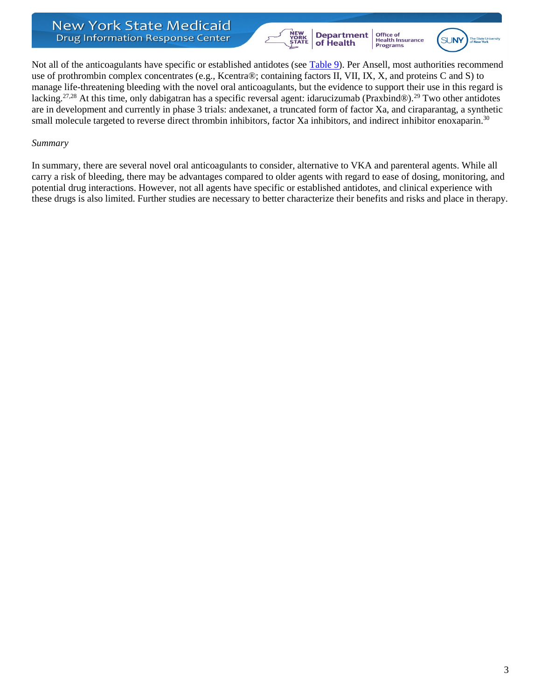



Not all of the anticoagulants have specific or established antidotes (see [Table 9\)](#page-16-0). Per Ansell, most authorities recommend use of prothrombin complex concentrates (e.g., Kcentra®; containing factors II, VII, IX, X, and proteins C and S) to manage life-threatening bleeding with the novel oral anticoagulants, but the evidence to support their use in this regard is lacking.<sup>27,28</sup> At this time, only dabigatran has a specific reversal agent: idarucizumab (Praxbind®).<sup>29</sup> Two other antidotes are in development and currently in phase 3 trials: andexanet, a truncated form of factor Xa, and ciraparantag, a synthetic small molecule targeted to reverse direct thrombin inhibitors, factor Xa inhibitors, and indirect inhibitor enoxaparin.<sup>30</sup>

### *Summary*

In summary, there are several novel oral anticoagulants to consider, alternative to VKA and parenteral agents. While all carry a risk of bleeding, there may be advantages compared to older agents with regard to ease of dosing, monitoring, and potential drug interactions. However, not all agents have specific or established antidotes, and clinical experience with these drugs is also limited. Further studies are necessary to better characterize their benefits and risks and place in therapy.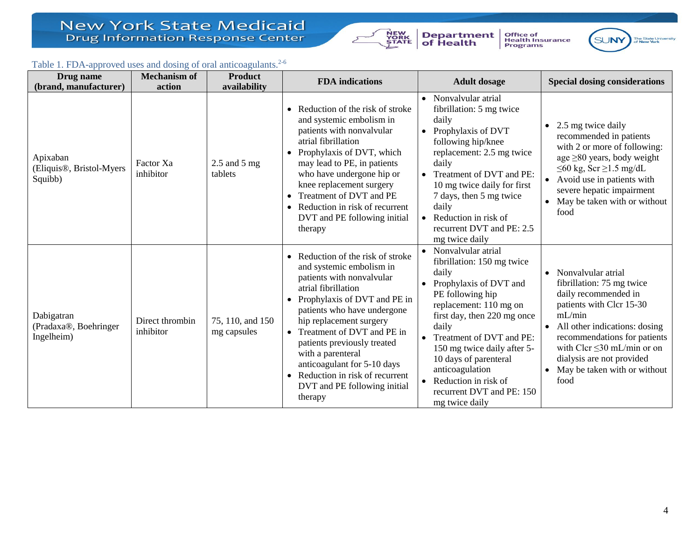

**Department**<br>of Health



The State University<br>of New York SUNY

# Table 1. FDA-approved uses and dosing of oral anticoagulants.<sup>2-6</sup>

<span id="page-3-0"></span>

| Drug name                                                    | <b>Mechanism of</b>          | <b>Product</b>                  | <b>FDA</b> indications<br><b>Adult dosage</b>                                                                                                                                                                                                                                                                                                                                                                            |                                                                                                                                                                                                                                                                                                                                                                       | <b>Special dosing considerations</b>                                                                                                                                                                                                                                                                              |
|--------------------------------------------------------------|------------------------------|---------------------------------|--------------------------------------------------------------------------------------------------------------------------------------------------------------------------------------------------------------------------------------------------------------------------------------------------------------------------------------------------------------------------------------------------------------------------|-----------------------------------------------------------------------------------------------------------------------------------------------------------------------------------------------------------------------------------------------------------------------------------------------------------------------------------------------------------------------|-------------------------------------------------------------------------------------------------------------------------------------------------------------------------------------------------------------------------------------------------------------------------------------------------------------------|
| (brand, manufacturer)                                        | action                       | availability                    |                                                                                                                                                                                                                                                                                                                                                                                                                          |                                                                                                                                                                                                                                                                                                                                                                       |                                                                                                                                                                                                                                                                                                                   |
| Apixaban<br>(Eliquis <sup>®</sup> , Bristol-Myers<br>Squibb) | Factor Xa<br>inhibitor       | $2.5$ and $5$ mg<br>tablets     | Reduction of the risk of stroke<br>and systemic embolism in<br>patients with nonvalvular<br>atrial fibrillation<br>Prophylaxis of DVT, which<br>may lead to PE, in patients<br>who have undergone hip or<br>knee replacement surgery<br>Treatment of DVT and PE<br>Reduction in risk of recurrent<br>$\bullet$<br>DVT and PE following initial<br>therapy                                                                | • Nonvalvular atrial<br>fibrillation: 5 mg twice<br>daily<br>• Prophylaxis of DVT<br>following hip/knee<br>replacement: 2.5 mg twice<br>daily<br>Treatment of DVT and PE:<br>10 mg twice daily for first<br>7 days, then 5 mg twice<br>daily<br>Reduction in risk of<br>recurrent DVT and PE: 2.5<br>mg twice daily                                                   | 2.5 mg twice daily<br>$\bullet$<br>recommended in patients<br>with 2 or more of following:<br>age $\geq$ 80 years, body weight<br>$\leq 60$ kg, Scr $\geq 1.5$ mg/dL<br>Avoid use in patients with<br>$\bullet$<br>severe hepatic impairment<br>May be taken with or without<br>food                              |
| Dabigatran<br>(Pradaxa®, Boehringer<br>Ingelheim)            | Direct thrombin<br>inhibitor | 75, 110, and 150<br>mg capsules | Reduction of the risk of stroke<br>and systemic embolism in<br>patients with nonvalvular<br>atrial fibrillation<br>• Prophylaxis of DVT and PE in<br>patients who have undergone<br>hip replacement surgery<br>• Treatment of DVT and PE in<br>patients previously treated<br>with a parenteral<br>anticoagulant for 5-10 days<br>Reduction in risk of recurrent<br>$\bullet$<br>DVT and PE following initial<br>therapy | • Nonvalvular atrial<br>fibrillation: 150 mg twice<br>daily<br>Prophylaxis of DVT and<br>PE following hip<br>replacement: 110 mg on<br>first day, then 220 mg once<br>daily<br>• Treatment of DVT and PE:<br>150 mg twice daily after 5-<br>10 days of parenteral<br>anticoagulation<br>$\bullet$ Reduction in risk of<br>recurrent DVT and PE: 150<br>mg twice daily | Nonvalvular atrial<br>$\bullet$<br>fibrillation: 75 mg twice<br>daily recommended in<br>patients with Clcr 15-30<br>mL/min<br>All other indications: dosing<br>$\bullet$<br>recommendations for patients<br>with Clcr $\leq$ 30 mL/min or on<br>dialysis are not provided<br>May be taken with or without<br>food |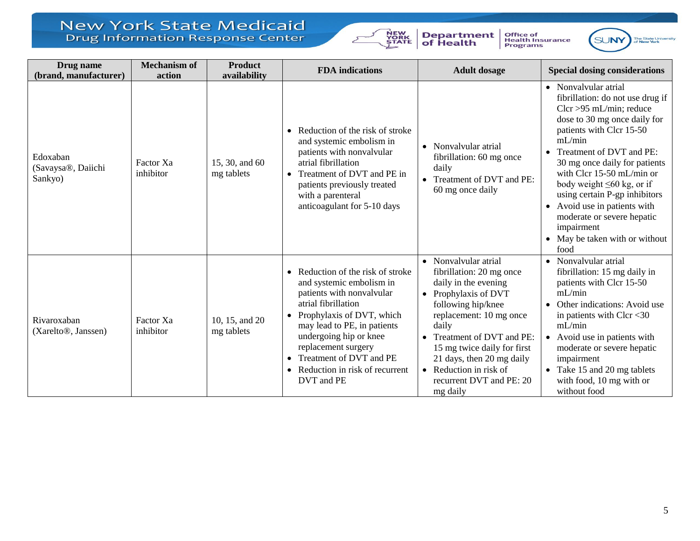

**Department**<br>of Health



SUNY The State University<br>of New York

| Drug name<br>(brand, manufacturer)              | <b>Mechanism of</b><br>action | <b>Product</b><br>availability | <b>FDA</b> indications                                                                                                                                                                                                                                                                                                              | <b>Adult dosage</b>                                                                                                                                                                                                                                                                                                            | <b>Special dosing considerations</b>                                                                                                                                                                                                                                                                                                                                                                                                             |
|-------------------------------------------------|-------------------------------|--------------------------------|-------------------------------------------------------------------------------------------------------------------------------------------------------------------------------------------------------------------------------------------------------------------------------------------------------------------------------------|--------------------------------------------------------------------------------------------------------------------------------------------------------------------------------------------------------------------------------------------------------------------------------------------------------------------------------|--------------------------------------------------------------------------------------------------------------------------------------------------------------------------------------------------------------------------------------------------------------------------------------------------------------------------------------------------------------------------------------------------------------------------------------------------|
| Edoxaban<br>(Savaysa®, Daiichi<br>Sankyo)       | Factor Xa<br>inhibitor        | 15, 30, and 60<br>mg tablets   | Reduction of the risk of stroke<br>and systemic embolism in<br>patients with nonvalvular<br>atrial fibrillation<br>Treatment of DVT and PE in<br>$\bullet$<br>patients previously treated<br>with a parenteral<br>anticoagulant for 5-10 days                                                                                       | • Nonvalvular atrial<br>fibrillation: 60 mg once<br>daily<br>• Treatment of DVT and PE:<br>60 mg once daily                                                                                                                                                                                                                    | • Nonvalvular atrial<br>fibrillation: do not use drug if<br>$Clcr > 95$ mL/min; reduce<br>dose to 30 mg once daily for<br>patients with Clcr 15-50<br>mL/min<br>Treatment of DVT and PE:<br>30 mg once daily for patients<br>with Clcr 15-50 mL/min or<br>body weight $\leq 60$ kg, or if<br>using certain P-gp inhibitors<br>• Avoid use in patients with<br>moderate or severe hepatic<br>impairment<br>• May be taken with or without<br>food |
| Rivaroxaban<br>(Xarelto <sup>®</sup> , Janssen) | Factor Xa<br>inhibitor        | 10, 15, and 20<br>mg tablets   | • Reduction of the risk of stroke<br>and systemic embolism in<br>patients with nonvalvular<br>atrial fibrillation<br>Prophylaxis of DVT, which<br>$\bullet$<br>may lead to PE, in patients<br>undergoing hip or knee<br>replacement surgery<br>Treatment of DVT and PE<br>$\bullet$<br>Reduction in risk of recurrent<br>DVT and PE | • Nonvalvular atrial<br>fibrillation: 20 mg once<br>daily in the evening<br>• Prophylaxis of DVT<br>following hip/knee<br>replacement: 10 mg once<br>daily<br>• Treatment of DVT and PE:<br>15 mg twice daily for first<br>21 days, then 20 mg daily<br>$\bullet$ Reduction in risk of<br>recurrent DVT and PE: 20<br>mg daily | • Nonvalvular atrial<br>fibrillation: 15 mg daily in<br>patients with Clcr 15-50<br>mL/min<br>Other indications: Avoid use<br>$\bullet$<br>in patients with Clcr $<$ 30<br>mL/min<br>• Avoid use in patients with<br>moderate or severe hepatic<br>impairment<br>• Take 15 and 20 mg tablets<br>with food, 10 mg with or<br>without food                                                                                                         |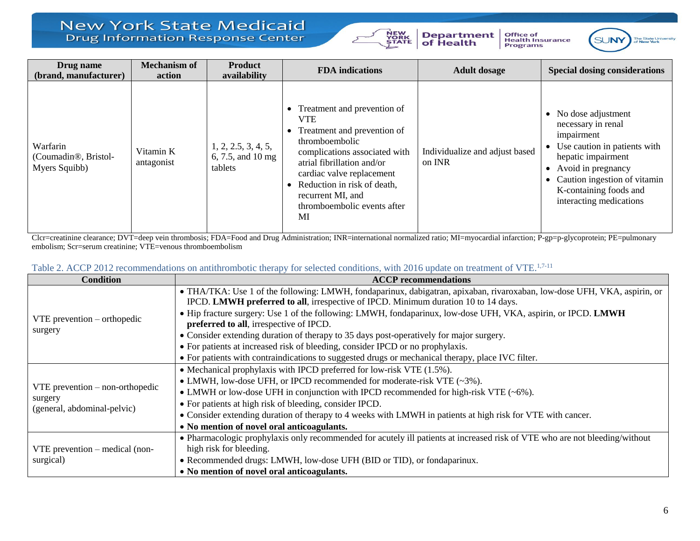

**Department**<br>of Health





| Drug name<br>(brand, manufacturer)                             | <b>Mechanism of</b><br>action | <b>Product</b><br>availability                      | <b>FDA</b> indications                                                                                                                                                                                                                                                          | <b>Adult dosage</b>                      | <b>Special dosing considerations</b>                                                                                                                                                                                        |
|----------------------------------------------------------------|-------------------------------|-----------------------------------------------------|---------------------------------------------------------------------------------------------------------------------------------------------------------------------------------------------------------------------------------------------------------------------------------|------------------------------------------|-----------------------------------------------------------------------------------------------------------------------------------------------------------------------------------------------------------------------------|
| Warfarin<br>(Coumadin <sup>®</sup> , Bristol-<br>Myers Squibb) | Vitamin K<br>antagonist       | 1, 2, 2.5, 3, 4, 5,<br>6, 7.5, and 10 mg<br>tablets | Treatment and prevention of<br><b>VTE</b><br>Treatment and prevention of<br>thromboembolic<br>complications associated with<br>atrial fibrillation and/or<br>cardiac valve replacement<br>Reduction in risk of death,<br>recurrent MI, and<br>thromboembolic events after<br>MI | Individualize and adjust based<br>on INR | • No dose adjustment<br>necessary in renal<br>impairment<br>• Use caution in patients with<br>hepatic impairment<br>Avoid in pregnancy<br>Caution ingestion of vitamin<br>K-containing foods and<br>interacting medications |

Clcr=creatinine clearance; DVT=deep vein thrombosis; FDA=Food and Drug Administration; INR=international normalized ratio; MI=myocardial infarction; P-gp=p-glycoprotein; PE=pulmonary embolism; Scr=serum creatinine; VTE=venous thromboembolism

| Table 2. ACCP 2012 recommendations on antithrombotic therapy for selected conditions, with 2016 update on treatment of VTE. <sup>1,7-11</sup> |
|-----------------------------------------------------------------------------------------------------------------------------------------------|
|-----------------------------------------------------------------------------------------------------------------------------------------------|

<span id="page-5-0"></span>

| <b>Condition</b>                       | <b>ACCP</b> recommendations                                                                                                 |  |  |  |
|----------------------------------------|-----------------------------------------------------------------------------------------------------------------------------|--|--|--|
|                                        | • THA/TKA: Use 1 of the following: LMWH, fondaparinux, dabigatran, apixaban, rivaroxaban, low-dose UFH, VKA, aspirin, or    |  |  |  |
|                                        | IPCD. LMWH preferred to all, irrespective of IPCD. Minimum duration 10 to 14 days.                                          |  |  |  |
| $VTE$ prevention – orthopedic          | • Hip fracture surgery: Use 1 of the following: LMWH, fondaparinux, low-dose UFH, VKA, aspirin, or IPCD. LMWH               |  |  |  |
|                                        | preferred to all, irrespective of IPCD.                                                                                     |  |  |  |
| surgery                                | • Consider extending duration of therapy to 35 days post-operatively for major surgery.                                     |  |  |  |
|                                        | • For patients at increased risk of bleeding, consider IPCD or no prophylaxis.                                              |  |  |  |
|                                        | • For patients with contraindications to suggested drugs or mechanical therapy, place IVC filter.                           |  |  |  |
|                                        | • Mechanical prophylaxis with IPCD preferred for low-risk VTE $(1.5\%)$ .                                                   |  |  |  |
|                                        | • LMWH, low-dose UFH, or IPCD recommended for moderate-risk VTE $(\sim 3\%)$ .                                              |  |  |  |
| $VTE$ prevention – non-orthopedic      | • LMWH or low-dose UFH in conjunction with IPCD recommended for high-risk VTE $(-6\%)$ .                                    |  |  |  |
| surgery<br>(general, abdominal-pelvic) | • For patients at high risk of bleeding, consider IPCD.                                                                     |  |  |  |
|                                        | • Consider extending duration of therapy to 4 weeks with LMWH in patients at high risk for VTE with cancer.                 |  |  |  |
|                                        | • No mention of novel oral anticoagulants.                                                                                  |  |  |  |
|                                        | • Pharmacologic prophylaxis only recommended for acutely ill patients at increased risk of VTE who are not bleeding/without |  |  |  |
| $VTE$ prevention – medical (non-       | high risk for bleeding.                                                                                                     |  |  |  |
| surgical)                              | • Recommended drugs: LMWH, low-dose UFH (BID or TID), or fondaparinux.                                                      |  |  |  |
|                                        | • No mention of novel oral anticoagulants.                                                                                  |  |  |  |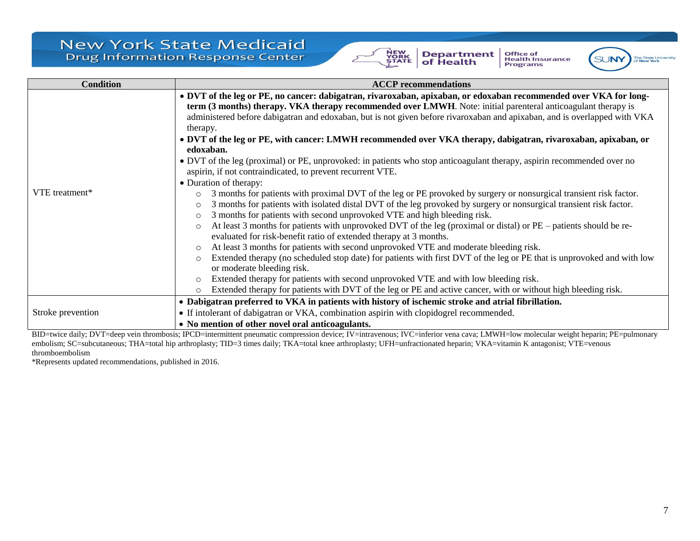





| <b>Condition</b>  | <b>ACCP</b> recommendations                                                                                                                                                                                                                                                                                                                                                                                                                                                                                                                                                                                                                                                                                                                                                                                                                                                                                                    |  |  |  |  |
|-------------------|--------------------------------------------------------------------------------------------------------------------------------------------------------------------------------------------------------------------------------------------------------------------------------------------------------------------------------------------------------------------------------------------------------------------------------------------------------------------------------------------------------------------------------------------------------------------------------------------------------------------------------------------------------------------------------------------------------------------------------------------------------------------------------------------------------------------------------------------------------------------------------------------------------------------------------|--|--|--|--|
|                   | • DVT of the leg or PE, no cancer: dabigatran, rivaroxaban, apixaban, or edoxaban recommended over VKA for long-<br>term (3 months) therapy. VKA therapy recommended over LMWH. Note: initial parenteral anticoagulant therapy is<br>administered before dabigatran and edoxaban, but is not given before rivaroxaban and apixaban, and is overlapped with VKA<br>therapy.<br>• DVT of the leg or PE, with cancer: LMWH recommended over VKA therapy, dabigatran, rivaroxaban, apixaban, or<br>edoxaban.<br>• DVT of the leg (proximal) or PE, unprovoked: in patients who stop anticoagulant therapy, aspirin recommended over no<br>aspirin, if not contraindicated, to prevent recurrent VTE.                                                                                                                                                                                                                               |  |  |  |  |
| VTE treatment*    | • Duration of therapy:<br>3 months for patients with proximal DVT of the leg or PE provoked by surgery or nonsurgical transient risk factor.<br>$\circ$<br>3 months for patients with isolated distal DVT of the leg provoked by surgery or nonsurgical transient risk factor.<br>3 months for patients with second unprovoked VTE and high bleeding risk.<br>$\circ$<br>At least 3 months for patients with unprovoked DVT of the leg (proximal or distal) or PE – patients should be re-<br>$\circ$<br>evaluated for risk-benefit ratio of extended therapy at 3 months.<br>At least 3 months for patients with second unprovoked VTE and moderate bleeding risk.<br>Extended therapy (no scheduled stop date) for patients with first DVT of the leg or PE that is unprovoked and with low<br>or moderate bleeding risk.<br>Extended therapy for patients with second unprovoked VTE and with low bleeding risk.<br>$\circ$ |  |  |  |  |
|                   | Extended therapy for patients with DVT of the leg or PE and active cancer, with or without high bleeding risk.<br>$\circ$                                                                                                                                                                                                                                                                                                                                                                                                                                                                                                                                                                                                                                                                                                                                                                                                      |  |  |  |  |
|                   | • Dabigatran preferred to VKA in patients with history of ischemic stroke and atrial fibrillation.                                                                                                                                                                                                                                                                                                                                                                                                                                                                                                                                                                                                                                                                                                                                                                                                                             |  |  |  |  |
| Stroke prevention | • If intolerant of dabigatran or VKA, combination aspirin with clopidogrel recommended.                                                                                                                                                                                                                                                                                                                                                                                                                                                                                                                                                                                                                                                                                                                                                                                                                                        |  |  |  |  |
|                   | • No mention of other novel oral anticoagulants.                                                                                                                                                                                                                                                                                                                                                                                                                                                                                                                                                                                                                                                                                                                                                                                                                                                                               |  |  |  |  |

BID=twice daily; DVT=deep vein thrombosis; IPCD=intermittent pneumatic compression device; IV=intravenous; IVC=inferior vena cava; LMWH=low molecular weight heparin; PE=pulmonary embolism; SC=subcutaneous; THA=total hip arthroplasty; TID=3 times daily; TKA=total knee arthroplasty; UFH=unfractionated heparin; VKA=vitamin K antagonist; VTE=venous thromboembolism

\*Represents updated recommendations, published in 2016.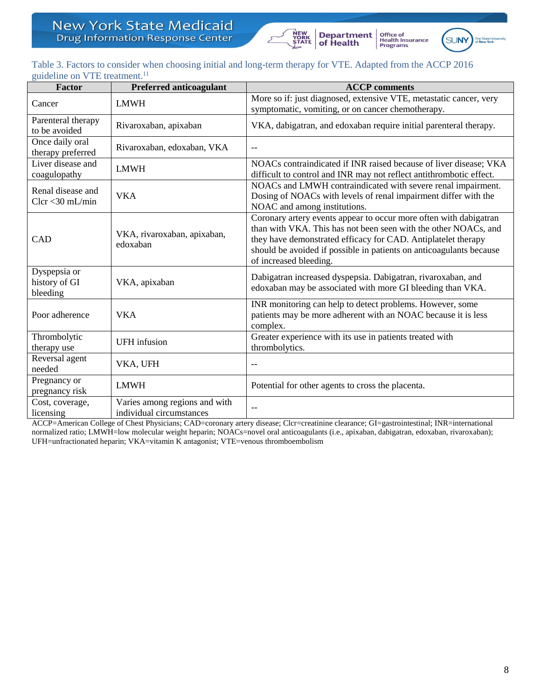



## <span id="page-7-0"></span>Table 3. Factors to consider when choosing initial and long-term therapy for VTE. Adapted from the ACCP 2016 guideline on VTE treatment.<sup>11</sup>

| Factor                                    | <b>Preferred anticoagulant</b>                            | <b>ACCP</b> comments                                                                                                                                                                                                                                                                                   |
|-------------------------------------------|-----------------------------------------------------------|--------------------------------------------------------------------------------------------------------------------------------------------------------------------------------------------------------------------------------------------------------------------------------------------------------|
| Cancer                                    | <b>LMWH</b>                                               | More so if: just diagnosed, extensive VTE, metastatic cancer, very<br>symptomatic, vomiting, or on cancer chemotherapy.                                                                                                                                                                                |
| Parenteral therapy<br>to be avoided       | Rivaroxaban, apixaban                                     | VKA, dabigatran, and edoxaban require initial parenteral therapy.                                                                                                                                                                                                                                      |
| Once daily oral<br>therapy preferred      | Rivaroxaban, edoxaban, VKA                                | $-$                                                                                                                                                                                                                                                                                                    |
| Liver disease and<br>coagulopathy         | <b>LMWH</b>                                               | NOACs contraindicated if INR raised because of liver disease; VKA<br>difficult to control and INR may not reflect antithrombotic effect.                                                                                                                                                               |
| Renal disease and<br>$Clcr < 30$ mL/min   | <b>VKA</b>                                                | NOACs and LMWH contraindicated with severe renal impairment.<br>Dosing of NOACs with levels of renal impairment differ with the<br>NOAC and among institutions.                                                                                                                                        |
| CAD                                       | VKA, rivaroxaban, apixaban,<br>edoxaban                   | Coronary artery events appear to occur more often with dabigatran<br>than with VKA. This has not been seen with the other NOACs, and<br>they have demonstrated efficacy for CAD. Antiplatelet therapy<br>should be avoided if possible in patients on anticoagulants because<br>of increased bleeding. |
| Dyspepsia or<br>history of GI<br>bleeding | VKA, apixaban                                             | Dabigatran increased dyspepsia. Dabigatran, rivaroxaban, and<br>edoxaban may be associated with more GI bleeding than VKA.                                                                                                                                                                             |
| Poor adherence                            | <b>VKA</b>                                                | INR monitoring can help to detect problems. However, some<br>patients may be more adherent with an NOAC because it is less<br>complex.                                                                                                                                                                 |
| Thrombolytic<br>therapy use               | <b>UFH</b> infusion                                       | Greater experience with its use in patients treated with<br>thrombolytics.                                                                                                                                                                                                                             |
| Reversal agent<br>needed                  | VKA, UFH                                                  | $-$                                                                                                                                                                                                                                                                                                    |
| Pregnancy or<br>pregnancy risk            | <b>LMWH</b>                                               | Potential for other agents to cross the placenta.                                                                                                                                                                                                                                                      |
| Cost, coverage,<br>licensing              | Varies among regions and with<br>individual circumstances |                                                                                                                                                                                                                                                                                                        |

ACCP=American College of Chest Physicians; CAD=coronary artery disease; Clcr=creatinine clearance; GI=gastrointestinal; INR=international normalized ratio; LMWH=low molecular weight heparin; NOACs=novel oral anticoagulants (i.e., apixaban, dabigatran, edoxaban, rivaroxaban); UFH=unfractionated heparin; VKA=vitamin K antagonist; VTE=venous thromboembolism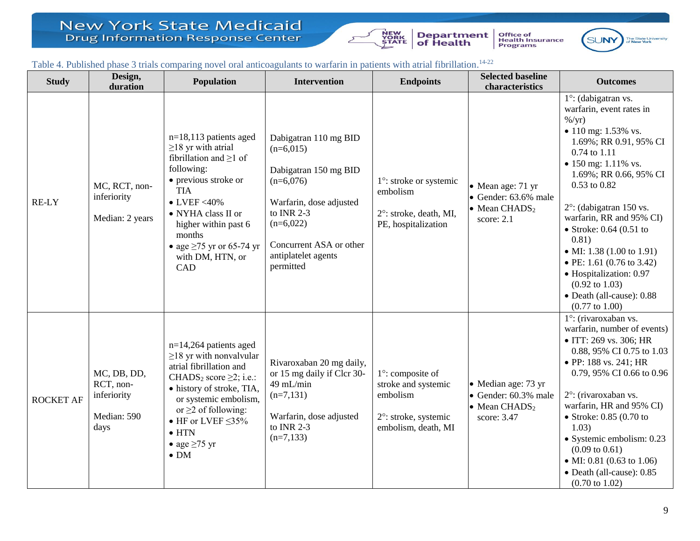

Office of<br>Health Insurance<br>Programs



### Table 4. Published phase 3 trials comparing novel oral anticoagulants to warfarin in patients with atrial fibrillation.<sup>14-22</sup>

<span id="page-8-0"></span>

| <b>Study</b>     | Design,<br>duration                                            | Population                                                                                                                                                                                                                                                                                            | <b>Intervention</b>                                                                                                                                                                                 | <b>Endpoints</b>                                                                                           | <b>Selected baseline</b><br>characteristics                                                                     | <b>Outcomes</b>                                                                                                                                                                                                                                                                                                                                                                                                                                                                            |
|------------------|----------------------------------------------------------------|-------------------------------------------------------------------------------------------------------------------------------------------------------------------------------------------------------------------------------------------------------------------------------------------------------|-----------------------------------------------------------------------------------------------------------------------------------------------------------------------------------------------------|------------------------------------------------------------------------------------------------------------|-----------------------------------------------------------------------------------------------------------------|--------------------------------------------------------------------------------------------------------------------------------------------------------------------------------------------------------------------------------------------------------------------------------------------------------------------------------------------------------------------------------------------------------------------------------------------------------------------------------------------|
| <b>RE-LY</b>     | MC, RCT, non-<br>inferiority<br>Median: 2 years                | $n=18,113$ patients aged<br>$\geq$ 18 yr with atrial<br>fibrillation and $\geq 1$ of<br>following:<br>• previous stroke or<br><b>TIA</b><br>$\bullet$ LVEF <40%<br>• NYHA class II or<br>higher within past 6<br>months<br>• age $\geq$ 75 yr or 65-74 yr<br>with DM, HTN, or<br>CAD                  | Dabigatran 110 mg BID<br>$(n=6,015)$<br>Dabigatran 150 mg BID<br>$(n=6,076)$<br>Warfarin, dose adjusted<br>to INR 2-3<br>$(n=6,022)$<br>Concurrent ASA or other<br>antiplatelet agents<br>permitted | 1°: stroke or systemic<br>embolism<br>2°: stroke, death, MI,<br>PE, hospitalization                        | $\bullet$ Mean age: 71 yr<br>$\bullet$ Gender: 63.6% male<br>• Mean CHADS <sub>2</sub><br>score: $2.1$          | 1°: (dabigatran vs.<br>warfarin, event rates in<br>$\frac{\%}{yr}$<br>• 110 mg: 1.53% vs.<br>1.69%; RR 0.91, 95% CI<br>0.74 to 1.11<br>• 150 mg: $1.11\%$ vs.<br>1.69%; RR 0.66, 95% CI<br>0.53 to 0.82<br>$2^{\circ}$ : (dabigatran 150 vs.<br>warfarin, RR and 95% CI)<br>• Stroke: $0.64$ (0.51 to<br>0.81)<br>• MI: 1.38 (1.00 to 1.91)<br>• PE: 1.61 (0.76 to 3.42)<br>• Hospitalization: 0.97<br>$(0.92 \text{ to } 1.03)$<br>• Death (all-cause): 0.88<br>$(0.77 \text{ to } 1.00)$ |
| <b>ROCKET AF</b> | MC, DB, DD,<br>RCT, non-<br>inferiority<br>Median: 590<br>days | $n=14,264$ patients aged<br>$\geq$ 18 yr with nonvalvular<br>atrial fibrillation and<br>CHADS <sub>2</sub> score $\geq$ 2; i.e.:<br>· history of stroke, TIA,<br>or systemic embolism,<br>or $\geq$ 2 of following:<br>• HF or LVEF $\leq$ 35%<br>$\bullet$ HTN<br>• age $\geq 75$ yr<br>$\bullet$ DM | Rivaroxaban 20 mg daily,<br>or 15 mg daily if Clcr 30-<br>49 mL/min<br>$(n=7,131)$<br>Warfarin, dose adjusted<br>to INR 2-3<br>$(n=7,133)$                                                          | $1^\circ$ : composite of<br>stroke and systemic<br>embolism<br>2°: stroke, systemic<br>embolism, death, MI | $\bullet$ Median age: 73 yr<br>$\bullet$ Gender: 60.3% male<br>$\bullet$ Mean CHADS <sub>2</sub><br>score: 3.47 | 1°: (rivaroxaban vs.<br>warfarin, number of events)<br>• ITT: 269 vs. 306; HR<br>0.88, 95% CI 0.75 to 1.03<br>• PP: 188 vs. 241; HR<br>0.79, 95% CI 0.66 to 0.96<br>2°: (rivaroxaban vs.<br>warfarin, HR and 95% CI)<br>$\bullet$ Stroke: 0.85 (0.70 to<br>1.03)<br>· Systemic embolism: 0.23<br>$(0.09 \text{ to } 0.61)$<br>• MI: 0.81 (0.63 to 1.06)<br>• Death (all-cause): 0.85<br>$(0.70 \text{ to } 1.02)$                                                                          |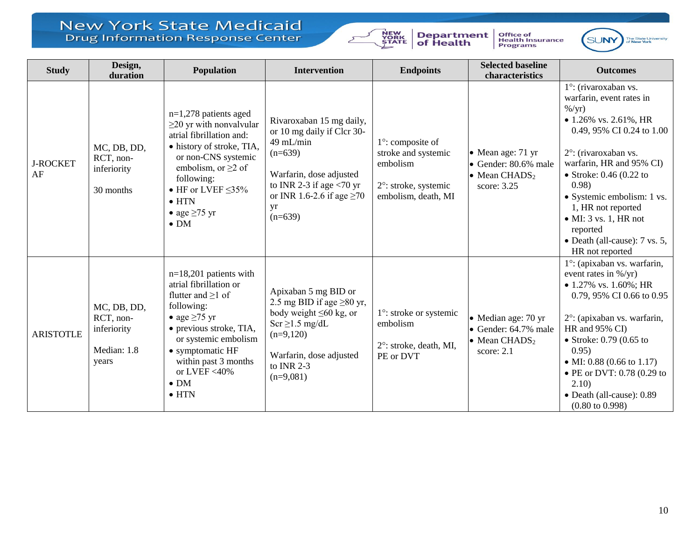

Office of<br>Health Insurance<br>Programs



| <b>Study</b>          | Design,<br>duration                                             | Population                                                                                                                                                                                                                                                           | <b>Intervention</b>                                                                                                                                                                                            | <b>Endpoints</b>                                                                                           | <b>Selected baseline</b><br>characteristics                                                            | <b>Outcomes</b>                                                                                                                                                                                                                                                                                                                                                                      |
|-----------------------|-----------------------------------------------------------------|----------------------------------------------------------------------------------------------------------------------------------------------------------------------------------------------------------------------------------------------------------------------|----------------------------------------------------------------------------------------------------------------------------------------------------------------------------------------------------------------|------------------------------------------------------------------------------------------------------------|--------------------------------------------------------------------------------------------------------|--------------------------------------------------------------------------------------------------------------------------------------------------------------------------------------------------------------------------------------------------------------------------------------------------------------------------------------------------------------------------------------|
| <b>J-ROCKET</b><br>AF | MC, DB, DD,<br>RCT, non-<br>inferiority<br>30 months            | $n=1,278$ patients aged<br>$\geq$ 20 yr with nonvalvular<br>atrial fibrillation and:<br>• history of stroke, TIA,<br>or non-CNS systemic<br>embolism, or $\geq 2$ of<br>following:<br>• HF or LVEF $\leq$ 35%<br>$\bullet$ HTN<br>• age $\geq 75$ yr<br>$\bullet$ DM | Rivaroxaban 15 mg daily,<br>or 10 mg daily if Clcr 30-<br>49 mL/min<br>$(n=639)$<br>Warfarin, dose adjusted<br>to INR 2-3 if age $\langle 70 \text{ yr}$<br>or INR 1.6-2.6 if age $\geq$ 70<br>yr<br>$(n=639)$ | $1^\circ$ : composite of<br>stroke and systemic<br>embolism<br>2°: stroke, systemic<br>embolism, death, MI | • Mean age: 71 yr<br>$\bullet$ Gender: 80.6% male<br>$\bullet$ Mean CHADS <sub>2</sub><br>score: 3.25  | 1°: (rivaroxaban vs.<br>warfarin, event rates in<br>$\frac{\%}{yr}$<br>• 1.26% vs. 2.61%, HR<br>0.49, 95% CI 0.24 to 1.00<br>2°: (rivaroxaban vs.<br>warfarin, HR and 95% CI)<br>• Stroke: $0.46$ (0.22 to<br>0.98)<br>• Systemic embolism: 1 vs.<br>1, HR not reported<br>$\bullet$ MI: 3 vs. 1, HR not<br>reported<br>• Death (all-cause): $7 \text{ vs. } 5$ ,<br>HR not reported |
| <b>ARISTOTLE</b>      | MC, DB, DD,<br>RCT, non-<br>inferiority<br>Median: 1.8<br>years | $n=18,201$ patients with<br>atrial fibrillation or<br>flutter and $\geq 1$ of<br>following:<br>• age $\geq 75$ yr<br>• previous stroke, TIA,<br>or systemic embolism<br>• symptomatic HF<br>within past 3 months<br>or LVEF <40%<br>$\bullet$ DM<br>$\bullet$ HTN    | Apixaban 5 mg BID or<br>2.5 mg BID if age $\geq 80$ yr,<br>body weight $\leq 60$ kg, or<br>$Scr \geq 1.5$ mg/dL<br>$(n=9,120)$<br>Warfarin, dose adjusted<br>to INR $2-3$<br>$(n=9,081)$                       | $1^\circ$ : stroke or systemic<br>embolism<br>$2^\circ$ : stroke, death, MI,<br>PE or DVT                  | • Median age: 70 yr<br>$\bullet$ Gender: 64.7% male<br>$\bullet$ Mean CHADS <sub>2</sub><br>score: 2.1 | 1°: (apixaban vs. warfarin,<br>event rates in %/yr)<br>• 1.27% vs. 1.60%; HR<br>0.79, 95% CI 0.66 to 0.95<br>2°: (apixaban vs. warfarin,<br>HR and 95% CI)<br>• Stroke: $0.79$ (0.65 to<br>0.95)<br>• MI: 0.88 (0.66 to 1.17)<br>• PE or DVT: 0.78 (0.29 to<br>2.10)<br>• Death (all-cause): 0.89<br>$(0.80 \text{ to } 0.998)$                                                      |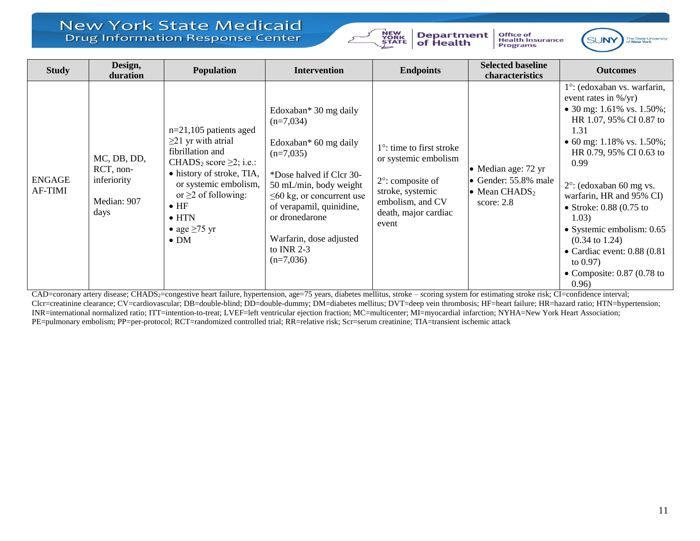

**Department**<br>of Health Office of<br>Health Insurance<br>Programs



| <b>Study</b>                    | Design,<br>duration                                            | <b>Population</b>                                                                                                                                                                                                                                                              | <b>Intervention</b>                                                                                                                                                                                                                                                           | <b>Endpoints</b>                                                                                                                                              | <b>Selected baseline</b><br>characteristics                                                                | <b>Outcomes</b>                                                                                                                                                                                                                                                                                                                                                                                                                                                          |
|---------------------------------|----------------------------------------------------------------|--------------------------------------------------------------------------------------------------------------------------------------------------------------------------------------------------------------------------------------------------------------------------------|-------------------------------------------------------------------------------------------------------------------------------------------------------------------------------------------------------------------------------------------------------------------------------|---------------------------------------------------------------------------------------------------------------------------------------------------------------|------------------------------------------------------------------------------------------------------------|--------------------------------------------------------------------------------------------------------------------------------------------------------------------------------------------------------------------------------------------------------------------------------------------------------------------------------------------------------------------------------------------------------------------------------------------------------------------------|
| <b>ENGAGE</b><br><b>AF-TIMI</b> | MC, DB, DD,<br>RCT, non-<br>inferiority<br>Median: 907<br>days | $n=21,105$ patients aged<br>$\geq$ 21 yr with atrial<br>fibrillation and<br>CHADS <sub>2</sub> score $\geq$ 2; i.e.:<br>• history of stroke, TIA,<br>or systemic embolism,<br>or $\geq$ 2 of following:<br>$\bullet$ HF<br>$\bullet$ HTN<br>• age $\geq 75$ yr<br>$\bullet$ DM | Edoxaban* 30 mg daily<br>$(n=7,034)$<br>Edoxaban* 60 mg daily<br>$(n=7,035)$<br>*Dose halved if Clcr 30-<br>50 mL/min, body weight<br>$\leq 60$ kg, or concurrent use<br>of verapamil, quinidine,<br>or dronedarone<br>Warfarin, dose adjusted<br>to INR $2-3$<br>$(n=7,036)$ | $1^\circ$ : time to first stroke<br>or systemic embolism<br>$2^\circ$ : composite of<br>stroke, systemic<br>embolism, and CV<br>death, major cardiac<br>event | • Median age: $72 \text{ yr}$<br>• Gender: 55.8% male<br>$\bullet$ Mean CHADS <sub>2</sub><br>score: $2.8$ | $1^\circ$ : (edoxaban vs. warfarin,<br>event rates in $\frac{1}{2}$ (yr)<br>• 30 mg: 1.61% vs. 1.50%;<br>HR 1.07, 95% CI 0.87 to<br>1.31<br>• 60 mg: 1.18% vs. 1.50%;<br>HR 0.79, 95% CI 0.63 to<br>0.99<br>$2^{\circ}$ : (edoxaban 60 mg vs.<br>warfarin, HR and 95% CI)<br>• Stroke: $0.88$ (0.75 to<br>1.03)<br>• Systemic embolism: 0.65<br>$(0.34 \text{ to } 1.24)$<br>$\bullet$ Cardiac event: 0.88 (0.81<br>to $0.97$ )<br>• Composite: $0.87$ (0.78 to<br>0.96) |

CAD=coronary artery disease; CHADS<sub>2</sub>=congestive heart failure, hypertension, age=75 years, diabetes mellitus, stroke – scoring system for estimating stroke risk; CI=confidence interval; Clcr=creatinine clearance; CV=cardiovascular; DB=double-blind; DD=double-dummy; DM=diabetes mellitus; DVT=deep vein thrombosis; HF=heart failure; HR=hazard ratio; HTN=hypertension; INR=international normalized ratio; ITT=intention-to-treat; LVEF=left ventricular ejection fraction; MC=multicenter; MI=myocardial infarction; NYHA=New York Heart Association; PE=pulmonary embolism; PP=per-protocol; RCT=randomized controlled trial; RR=relative risk; Scr=serum creatinine; TIA=transient ischemic attack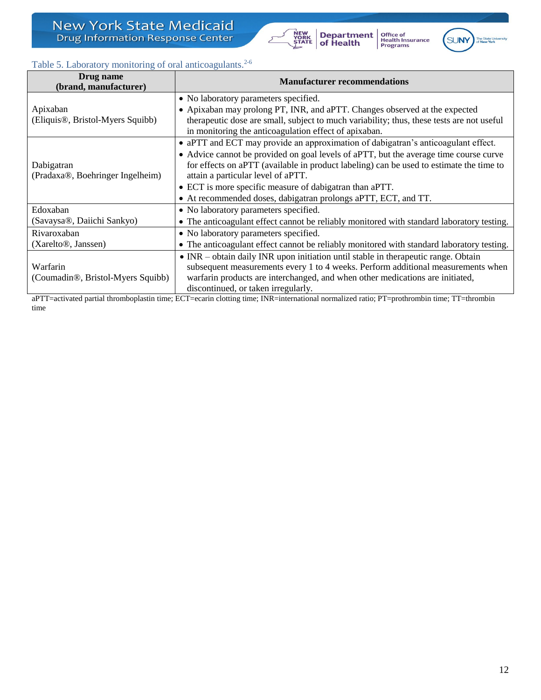<span id="page-11-0"></span>

| DI ug name<br>(brand, manufacturer)            | <b>Manufacturer recommendations</b>                                                         |  |  |  |
|------------------------------------------------|---------------------------------------------------------------------------------------------|--|--|--|
|                                                | • No laboratory parameters specified.                                                       |  |  |  |
| Apixaban                                       | • Apixaban may prolong PT, INR, and aPTT. Changes observed at the expected                  |  |  |  |
| (Eliquis <sup>®</sup> , Bristol-Myers Squibb)  | therapeutic dose are small, subject to much variability; thus, these tests are not useful   |  |  |  |
|                                                | in monitoring the anticoagulation effect of apixaban.                                       |  |  |  |
|                                                | • aPTT and ECT may provide an approximation of dabigatran's anticoagulant effect.           |  |  |  |
|                                                | • Advice cannot be provided on goal levels of aPTT, but the average time course curve       |  |  |  |
| Dabigatran                                     | for effects on aPTT (available in product labeling) can be used to estimate the time to     |  |  |  |
| (Pradaxa®, Boehringer Ingelheim)               | attain a particular level of aPTT.                                                          |  |  |  |
|                                                | • ECT is more specific measure of dabigatran than aPTT.                                     |  |  |  |
|                                                | • At recommended doses, dabigatran prolongs aPTT, ECT, and TT.                              |  |  |  |
| Edoxaban                                       | • No laboratory parameters specified.                                                       |  |  |  |
| (Savaysa®, Daiichi Sankyo)                     | • The anticoagulant effect cannot be reliably monitored with standard laboratory testing.   |  |  |  |
| Rivaroxaban                                    | • No laboratory parameters specified.                                                       |  |  |  |
| (Xarelto <sup>®</sup> , Janssen)               | • The anticoagulant effect cannot be reliably monitored with standard laboratory testing.   |  |  |  |
|                                                | $\bullet$ INR – obtain daily INR upon initiation until stable in the rapeutic range. Obtain |  |  |  |
| Warfarin                                       | subsequent measurements every 1 to 4 weeks. Perform additional measurements when            |  |  |  |
| (Coumadin <sup>®</sup> , Bristol-Myers Squibb) | warfarin products are interchanged, and when other medications are initiated,               |  |  |  |
|                                                | discontinued, or taken irregularly.                                                         |  |  |  |

**Department**<br>of Health

NEW<br>YORK<br>STATE

Office of<br>Health Insurance<br>Programs

SUNY

aPTT=activated partial thromboplastin time; ECT=ecarin clotting time; INR=international normalized ratio; PT=prothrombin time; TT=thrombin time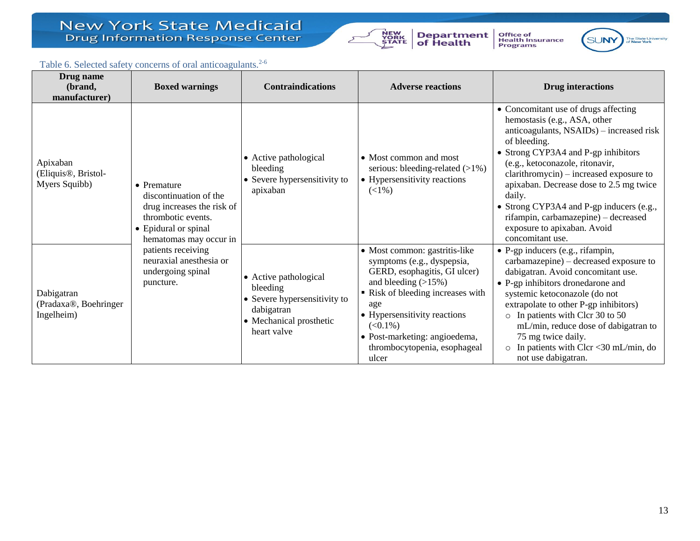

**Department**<br>of Health Office of<br>Health Insurance<br>Programs



### Table 6. Selected safety concerns of oral anticoagulants.<sup>2-6</sup>

<span id="page-12-0"></span>

| Drug name<br>(brand,<br>manufacturer)                         | <b>Boxed warnings</b>                                                                                                                               | <b>Contraindications</b>                                                                                                  | <b>Adverse reactions</b>                                                                                                                                                                                                                                                                | <b>Drug interactions</b>                                                                                                                                                                                                                                                                                                                                                                                                                          |
|---------------------------------------------------------------|-----------------------------------------------------------------------------------------------------------------------------------------------------|---------------------------------------------------------------------------------------------------------------------------|-----------------------------------------------------------------------------------------------------------------------------------------------------------------------------------------------------------------------------------------------------------------------------------------|---------------------------------------------------------------------------------------------------------------------------------------------------------------------------------------------------------------------------------------------------------------------------------------------------------------------------------------------------------------------------------------------------------------------------------------------------|
| Apixaban<br>(Eliquis <sup>®</sup> , Bristol-<br>Myers Squibb) | $\bullet$ Premature<br>discontinuation of the<br>drug increases the risk of<br>thrombotic events.<br>• Epidural or spinal<br>hematomas may occur in | • Active pathological<br>bleeding<br>• Severe hypersensitivity to<br>apixaban                                             | • Most common and most<br>serious: bleeding-related $(>1\%)$<br>• Hypersensitivity reactions<br>$(<1\%)$                                                                                                                                                                                | • Concomitant use of drugs affecting<br>hemostasis (e.g., ASA, other<br>anticoagulants, NSAIDs) - increased risk<br>of bleeding.<br>• Strong CYP3A4 and P-gp inhibitors<br>(e.g., ketoconazole, ritonavir,<br>clarithromycin) - increased exposure to<br>apixaban. Decrease dose to 2.5 mg twice<br>daily.<br>• Strong CYP3A4 and P-gp inducers (e.g.,<br>rifampin, carbamazepine) - decreased<br>exposure to apixaban. Avoid<br>concomitant use. |
| Dabigatran<br>(Pradaxa®, Boehringer<br>Ingelheim)             | patients receiving<br>neuraxial anesthesia or<br>undergoing spinal<br>puncture.                                                                     | • Active pathological<br>bleeding<br>• Severe hypersensitivity to<br>dabigatran<br>• Mechanical prosthetic<br>heart valve | • Most common: gastritis-like<br>symptoms (e.g., dyspepsia,<br>GERD, esophagitis, GI ulcer)<br>and bleeding $(>15\%)$<br>Risk of bleeding increases with<br>age<br>• Hypersensitivity reactions<br>$(<0.1\%)$<br>• Post-marketing: angioedema,<br>thrombocytopenia, esophageal<br>ulcer | • P-gp inducers (e.g., rifampin,<br>carbamazepine) – decreased exposure to<br>dabigatran. Avoid concomitant use.<br>• P-gp inhibitors dronedarone and<br>systemic ketoconazole (do not<br>extrapolate to other P-gp inhibitors)<br>o In patients with Clcr 30 to 50<br>mL/min, reduce dose of dabigatran to<br>75 mg twice daily.<br>$\circ$ In patients with Clcr <30 mL/min, do<br>not use dabigatran.                                          |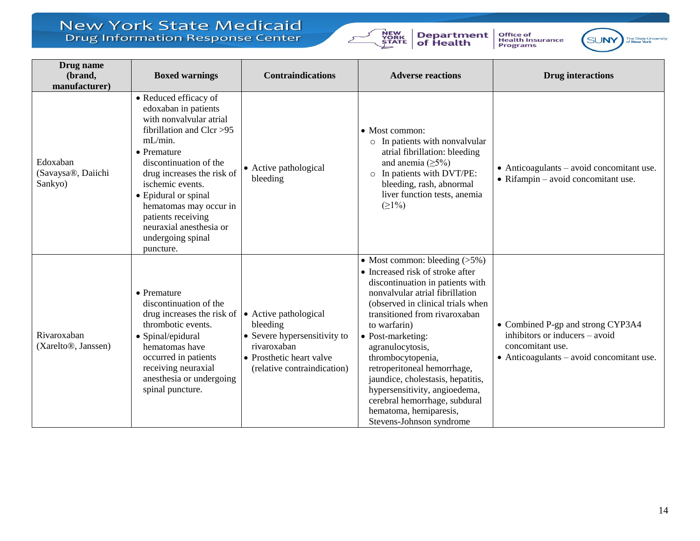**Drug name**



**Department**<br>of Health

Office of<br>Health Insurance<br>Programs



| Drug name<br>(brand,<br>manufacturer)           | <b>Boxed warnings</b>                                                                                                                                                                                                                                                                                                                               | <b>Contraindications</b>                                                                                                                    | <b>Adverse reactions</b>                                                                                                                                                                                                                                                                                                                                                                                                                                                                    | <b>Drug</b> interactions                                                                                                                     |
|-------------------------------------------------|-----------------------------------------------------------------------------------------------------------------------------------------------------------------------------------------------------------------------------------------------------------------------------------------------------------------------------------------------------|---------------------------------------------------------------------------------------------------------------------------------------------|---------------------------------------------------------------------------------------------------------------------------------------------------------------------------------------------------------------------------------------------------------------------------------------------------------------------------------------------------------------------------------------------------------------------------------------------------------------------------------------------|----------------------------------------------------------------------------------------------------------------------------------------------|
| Edoxaban<br>(Savaysa®, Daiichi<br>Sankyo)       | • Reduced efficacy of<br>edoxaban in patients<br>with nonvalvular atrial<br>fibrillation and Clcr >95<br>$mL/min$ .<br>• Premature<br>discontinuation of the<br>drug increases the risk of<br>ischemic events.<br>• Epidural or spinal<br>hematomas may occur in<br>patients receiving<br>neuraxial anesthesia or<br>undergoing spinal<br>puncture. | • Active pathological<br>bleeding                                                                                                           | $\bullet$ Most common:<br>o In patients with nonvalvular<br>atrial fibrillation: bleeding<br>and anemia $(\geq 5\%)$<br>o In patients with DVT/PE:<br>bleeding, rash, abnormal<br>liver function tests, anemia<br>(21%)                                                                                                                                                                                                                                                                     | $\bullet$ Anticoagulants – avoid concomitant use.<br>$\bullet$ Rifampin – avoid concomitant use.                                             |
| Rivaroxaban<br>(Xarelto <sup>®</sup> , Janssen) | $\bullet$ Premature<br>discontinuation of the<br>drug increases the risk of<br>thrombotic events.<br>• Spinal/epidural<br>hematomas have<br>occurred in patients<br>receiving neuraxial<br>anesthesia or undergoing<br>spinal puncture.                                                                                                             | • Active pathological<br>bleeding<br>• Severe hypersensitivity to<br>rivaroxaban<br>• Prosthetic heart valve<br>(relative contraindication) | • Most common: bleeding $(>5\%)$<br>• Increased risk of stroke after<br>discontinuation in patients with<br>nonvalvular atrial fibrillation<br>(observed in clinical trials when<br>transitioned from rivaroxaban<br>to warfarin)<br>• Post-marketing:<br>agranulocytosis,<br>thrombocytopenia,<br>retroperitoneal hemorrhage,<br>jaundice, cholestasis, hepatitis,<br>hypersensitivity, angioedema,<br>cerebral hemorrhage, subdural<br>hematoma, hemiparesis,<br>Stevens-Johnson syndrome | • Combined P-gp and strong CYP3A4<br>inhibitors or inducers - avoid<br>concomitant use.<br>$\bullet$ Anticoagulants – avoid concomitant use. |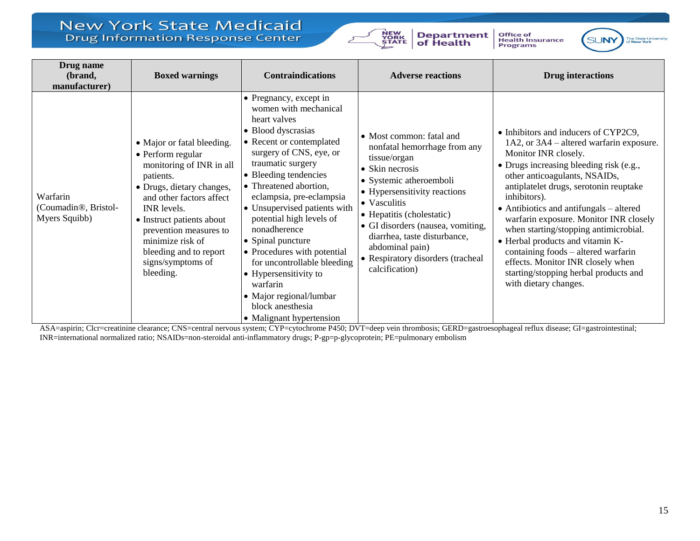

**Department**<br>of Health

Office of<br>Health Insurance<br>Programs



| Drug name<br>(brand,<br>manufacturer)                          | <b>Boxed warnings</b>                                                                                                                                                                                                                                                                                   | <b>Contraindications</b>                                                                                                                                                                                                                                                                                                                                                                                                                                                                                                        | <b>Adverse reactions</b>                                                                                                                                                                                                                                                                                                                           | <b>Drug interactions</b>                                                                                                                                                                                                                                                                                                                                                                                                                                                                                                                                               |
|----------------------------------------------------------------|---------------------------------------------------------------------------------------------------------------------------------------------------------------------------------------------------------------------------------------------------------------------------------------------------------|---------------------------------------------------------------------------------------------------------------------------------------------------------------------------------------------------------------------------------------------------------------------------------------------------------------------------------------------------------------------------------------------------------------------------------------------------------------------------------------------------------------------------------|----------------------------------------------------------------------------------------------------------------------------------------------------------------------------------------------------------------------------------------------------------------------------------------------------------------------------------------------------|------------------------------------------------------------------------------------------------------------------------------------------------------------------------------------------------------------------------------------------------------------------------------------------------------------------------------------------------------------------------------------------------------------------------------------------------------------------------------------------------------------------------------------------------------------------------|
| Warfarin<br>(Coumadin <sup>®</sup> , Bristol-<br>Myers Squibb) | • Major or fatal bleeding.<br>• Perform regular<br>monitoring of INR in all<br>patients.<br>• Drugs, dietary changes,<br>and other factors affect<br>INR levels.<br>• Instruct patients about<br>prevention measures to<br>minimize risk of<br>bleeding and to report<br>signs/symptoms of<br>bleeding. | • Pregnancy, except in<br>women with mechanical<br>heart valves<br>• Blood dyscrasias<br>• Recent or contemplated<br>surgery of CNS, eye, or<br>traumatic surgery<br>• Bleeding tendencies<br>• Threatened abortion,<br>eclampsia, pre-eclampsia<br>• Unsupervised patients with<br>potential high levels of<br>nonadherence<br>• Spinal puncture<br>• Procedures with potential<br>for uncontrollable bleeding<br>• Hypersensitivity to<br>warfarin<br>• Major regional/lumbar<br>block anesthesia<br>• Malignant hypertension | • Most common: fatal and<br>nonfatal hemorrhage from any<br>tissue/organ<br>• Skin necrosis<br>· Systemic atheroemboli<br>• Hypersensitivity reactions<br>• Vasculitis<br>• Hepatitis (cholestatic)<br>• GI disorders (nausea, vomiting,<br>diarrhea, taste disturbance,<br>abdominal pain)<br>• Respiratory disorders (tracheal<br>calcification) | • Inhibitors and inducers of CYP2C9,<br>1A2, or 3A4 – altered warfarin exposure.<br>Monitor INR closely.<br>• Drugs increasing bleeding risk (e.g.,<br>other anticoagulants, NSAIDs,<br>antiplatelet drugs, serotonin reuptake<br>inhibitors).<br>$\bullet$ Antibiotics and antifungals – altered<br>warfarin exposure. Monitor INR closely<br>when starting/stopping antimicrobial.<br>• Herbal products and vitamin K-<br>containing foods - altered warfarin<br>effects. Monitor INR closely when<br>starting/stopping herbal products and<br>with dietary changes. |

ASA=aspirin; Clcr=creatinine clearance; CNS=central nervous system; CYP=cytochrome P450; DVT=deep vein thrombosis; GERD=gastroesophageal reflux disease; GI=gastrointestinal; INR=international normalized ratio; NSAIDs=non-steroidal anti-inflammatory drugs; P-gp=p-glycoprotein; PE=pulmonary embolism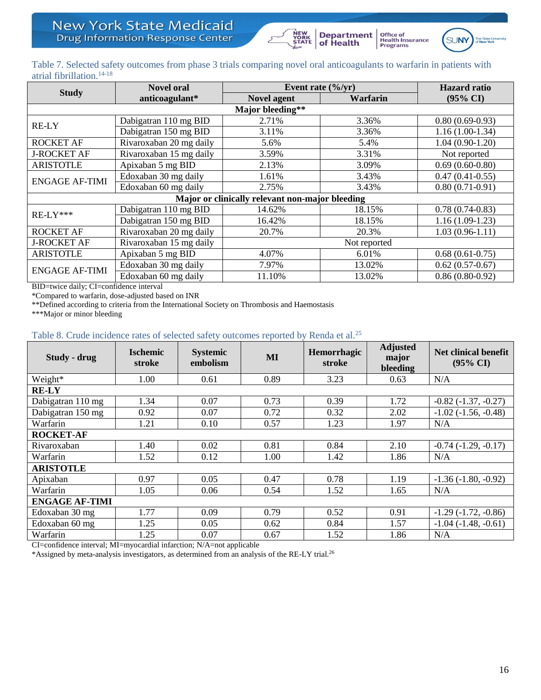



Office of<br>Health Insurance<br>Programs

### <span id="page-15-0"></span>Table 7. Selected safety outcomes from phase 3 trials comparing novel oral anticoagulants to warfarin in patients with atrial fibrillation.14-18

| <b>Study</b>                                    | <b>Novel oral</b>                       | Event rate $(\frac{6}{yr})$ | <b>Hazard</b> ratio |                     |  |
|-------------------------------------------------|-----------------------------------------|-----------------------------|---------------------|---------------------|--|
|                                                 | anticoagulant*                          | <b>Novel agent</b>          | Warfarin            | $(95\% \text{ CI})$ |  |
|                                                 |                                         | Major bleeding**            |                     |                     |  |
| RE-LY                                           | Dabigatran 110 mg BID                   | 2.71%                       | 3.36%               | $0.80(0.69-0.93)$   |  |
|                                                 | Dabigatran 150 mg BID                   | 3.11%                       | 3.36%               | $1.16(1.00-1.34)$   |  |
| <b>ROCKET AF</b>                                | Rivaroxaban 20 mg daily<br>5.4%<br>5.6% |                             | $1.04(0.90-1.20)$   |                     |  |
| <b>J-ROCKET AF</b>                              | Rivaroxaban 15 mg daily                 | 3.59%                       | 3.31%               | Not reported        |  |
| <b>ARISTOTLE</b>                                | Apixaban 5 mg BID                       | 2.13%                       | 3.09%               | $0.69(0.60-0.80)$   |  |
| <b>ENGAGE AF-TIMI</b>                           | Edoxaban 30 mg daily                    | 1.61%                       | 3.43%               | $0.47(0.41-0.55)$   |  |
|                                                 | Edoxaban 60 mg daily                    | 2.75%                       | 3.43%               | $0.80(0.71-0.91)$   |  |
| Major or clinically relevant non-major bleeding |                                         |                             |                     |                     |  |
| $RE-LY***$                                      | Dabigatran 110 mg BID                   | 14.62%                      | 18.15%              | $0.78(0.74-0.83)$   |  |
|                                                 | Dabigatran 150 mg BID                   | 16.42%                      | 18.15%              | $1.16(1.09-1.23)$   |  |
| <b>ROCKET AF</b>                                | Rivaroxaban 20 mg daily                 | 20.7%                       | 20.3%               | $1.03(0.96-1.11)$   |  |
| <b>J-ROCKET AF</b>                              | Rivaroxaban 15 mg daily                 | Not reported                |                     |                     |  |
| <b>ARISTOTLE</b>                                | Apixaban 5 mg BID<br>4.07%<br>6.01%     |                             | $0.68(0.61-0.75)$   |                     |  |
| <b>ENGAGE AF-TIMI</b>                           | Edoxaban 30 mg daily                    | 7.97%                       | 13.02%              | $0.62(0.57-0.67)$   |  |
|                                                 | Edoxaban 60 mg daily                    | 11.10%                      | 13.02%              | $0.86(0.80-0.92)$   |  |

BID=twice daily; CI=confidence interval

\*Compared to warfarin, dose-adjusted based on INR

\*\*Defined according to criteria from the International Society on Thrombosis and Haemostasis

\*\*\*Major or minor bleeding

### <span id="page-15-1"></span>Table 8. Crude incidence rates of selected safety outcomes reported by Renda et al.<sup>25</sup>

| Study - drug          | <b>Ischemic</b><br>stroke | <b>Systemic</b><br>embolism | MI        | Hemorrhagic<br>stroke | <b>Adjusted</b><br>major<br>bleeding | <b>Net clinical benefit</b><br>$(95\% \text{ CI})$ |
|-----------------------|---------------------------|-----------------------------|-----------|-----------------------|--------------------------------------|----------------------------------------------------|
| Weight*               | 1.00                      | 0.61                        | 0.89      | 3.23                  | 0.63                                 | N/A                                                |
| <b>RE-LY</b>          |                           |                             |           |                       |                                      |                                                    |
| Dabigatran 110 mg     | 1.34                      | 0.07                        | 0.73      | 0.39                  | 1.72                                 | $-0.82$ $(-1.37, -0.27)$                           |
| Dabigatran 150 mg     | 0.92                      | 0.07                        | 0.72      | 0.32                  | 2.02                                 | $-1.02$ $(-1.56, -0.48)$                           |
| Warfarin              | 1.21                      | 0.10                        | 0.57      | 1.23                  | 1.97                                 | N/A                                                |
| <b>ROCKET-AF</b>      |                           |                             |           |                       |                                      |                                                    |
| Rivaroxaban           | 1.40                      | 0.02                        | 0.81      | 0.84                  | 2.10                                 | $-0.74$ $(-1.29, -0.17)$                           |
| Warfarin              | 1.52                      | 0.12                        | 1.00      | 1.42                  | 1.86                                 | N/A                                                |
| <b>ARISTOTLE</b>      |                           |                             |           |                       |                                      |                                                    |
| Apixaban              | 0.97                      | 0.05                        | 0.47      | 0.78                  | 1.19                                 | $-1.36(-1.80, -0.92)$                              |
| Warfarin              | 1.05                      | 0.06                        | 0.54      | 1.52                  | 1.65                                 | N/A                                                |
| <b>ENGAGE AF-TIMI</b> |                           |                             |           |                       |                                      |                                                    |
| Edoxaban 30 mg        | 1.77                      | 0.09                        | 0.79      | 0.52                  | 0.91                                 | $-1.29(-1.72, -0.86)$                              |
| Edoxaban 60 mg        | 1.25                      | 0.05                        | 0.62      | 0.84                  | 1.57                                 | $-1.04$ $(-1.48, -0.61)$                           |
| Warfarin<br>$  -$     | 1.25                      | 0.07                        | 0.67<br>. | 1.52                  | 1.86                                 | N/A                                                |

CI=confidence interval; MI=myocardial infarction; N/A=not applicable

\*Assigned by meta-analysis investigators, as determined from an analysis of the RE-LY trial.26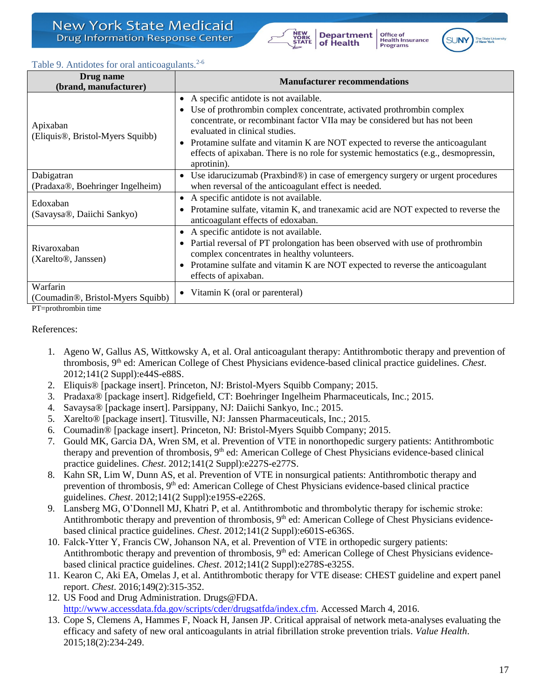

Office of<br>Health Insurance Programs



### <span id="page-16-0"></span>Table 9. Antidotes for oral anticoagulants.<sup>2-6</sup>

| Drug name<br>(brand, manufacturer)                         | <b>Manufacturer recommendations</b>                                                                                                                                                                                                                                                                                                                                                                                         |  |  |  |
|------------------------------------------------------------|-----------------------------------------------------------------------------------------------------------------------------------------------------------------------------------------------------------------------------------------------------------------------------------------------------------------------------------------------------------------------------------------------------------------------------|--|--|--|
| Apixaban<br>(Eliquis <sup>®</sup> , Bristol-Myers Squibb)  | • A specific antidote is not available.<br>• Use of prothrombin complex concentrate, activated prothrombin complex<br>concentrate, or recombinant factor VIIa may be considered but has not been<br>evaluated in clinical studies.<br>• Protamine sulfate and vitamin K are NOT expected to reverse the anticoagulant<br>effects of apixaban. There is no role for systemic hemostatics (e.g., desmopressin,<br>aprotinin). |  |  |  |
| Dabigatran<br>(Pradaxa®, Boehringer Ingelheim)             | • Use idarucizumab (Praxbind®) in case of emergency surgery or urgent procedures<br>when reversal of the anticoagulant effect is needed.                                                                                                                                                                                                                                                                                    |  |  |  |
| Edoxaban<br>(Savaysa®, Daiichi Sankyo)                     | • A specific antidote is not available.<br>Protamine sulfate, vitamin K, and tranexamic acid are NOT expected to reverse the<br>anticoagulant effects of edoxaban.                                                                                                                                                                                                                                                          |  |  |  |
| Rivaroxaban<br>(Xarelto <sup>®</sup> , Janssen)            | • A specific antidote is not available.<br>Partial reversal of PT prolongation has been observed with use of prothrombin<br>$\bullet$<br>complex concentrates in healthy volunteers.<br>• Protamine sulfate and vitamin K are NOT expected to reverse the anticoagulant<br>effects of apixaban.                                                                                                                             |  |  |  |
| Warfarin<br>(Coumadin <sup>®</sup> , Bristol-Myers Squibb) | • Vitamin K (oral or parenteral)                                                                                                                                                                                                                                                                                                                                                                                            |  |  |  |

PT=prothrombin time

#### References:

- 1. Ageno W, Gallus AS, Wittkowsky A, et al. Oral anticoagulant therapy: Antithrombotic therapy and prevention of thrombosis, 9th ed: American College of Chest Physicians evidence-based clinical practice guidelines. *Chest*. 2012;141(2 Suppl):e44S-e88S.
- 2. Eliquis® [package insert]. Princeton, NJ: Bristol-Myers Squibb Company; 2015.
- 3. Pradaxa® [package insert]. Ridgefield, CT: Boehringer Ingelheim Pharmaceuticals, Inc.; 2015.
- 4. Savaysa® [package insert]. Parsippany, NJ: Daiichi Sankyo, Inc.; 2015.
- 5. Xarelto® [package insert]. Titusville, NJ: Janssen Pharmaceuticals, Inc.; 2015.
- 6. Coumadin® [package insert]. Princeton, NJ: Bristol-Myers Squibb Company; 2015.
- 7. Gould MK, Garcia DA, Wren SM, et al. Prevention of VTE in nonorthopedic surgery patients: Antithrombotic therapy and prevention of thrombosis, 9<sup>th</sup> ed: American College of Chest Physicians evidence-based clinical practice guidelines. *Chest*. 2012;141(2 Suppl):e227S-e277S.
- 8. Kahn SR, Lim W, Dunn AS, et al. Prevention of VTE in nonsurgical patients: Antithrombotic therapy and prevention of thrombosis, 9<sup>th</sup> ed: American College of Chest Physicians evidence-based clinical practice guidelines. *Chest*. 2012;141(2 Suppl):e195S-e226S.
- 9. Lansberg MG, O'Donnell MJ, Khatri P, et al. Antithrombotic and thrombolytic therapy for ischemic stroke: Antithrombotic therapy and prevention of thrombosis,  $9<sup>th</sup>$  ed: American College of Chest Physicians evidencebased clinical practice guidelines. *Chest*. 2012;141(2 Suppl):e601S-e636S.
- 10. Falck-Ytter Y, Francis CW, Johanson NA, et al. Prevention of VTE in orthopedic surgery patients: Antithrombotic therapy and prevention of thrombosis,  $9<sup>th</sup>$  ed: American College of Chest Physicians evidencebased clinical practice guidelines. *Chest*. 2012;141(2 Suppl):e278S-e325S.
- 11. Kearon C, Aki EA, Omelas J, et al. Antithrombotic therapy for VTE disease: CHEST guideline and expert panel report. *Chest*. 2016;149(2):315-352.
- 12. US Food and Drug Administration. Drugs@FDA. [http://www.accessdata.fda.gov/scripts/cder/drugsatfda/index.cfm.](http://www.accessdata.fda.gov/scripts/cder/drugsatfda/index.cfm) Accessed March 4, 2016.
- 13. Cope S, Clemens A, Hammes F, Noack H, Jansen JP. Critical appraisal of network meta-analyses evaluating the efficacy and safety of new oral anticoagulants in atrial fibrillation stroke prevention trials. *Value Health*. 2015;18(2):234-249.